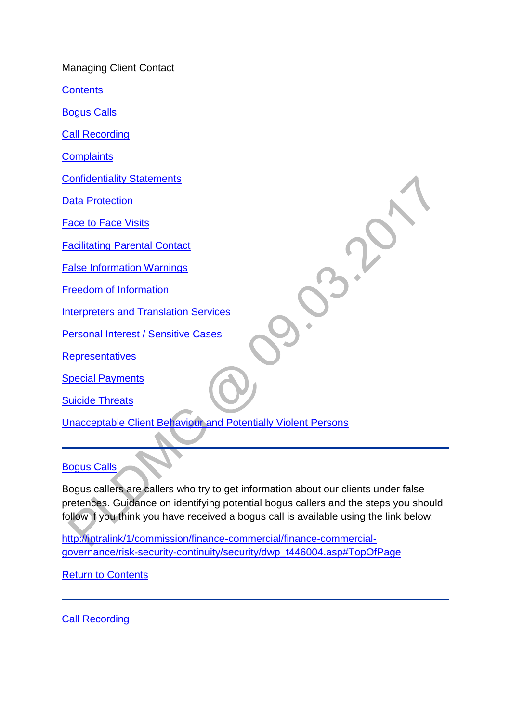Managing Client Contact

**[Contents](http://np-cmg-sharepoint.link2.gpn.gov.uk/sites/policy-law-and-decision-making-guidance/Pages/Managing%20Client%20Contact/Managing-Client-Contact.aspx)** 

[Bogus Calls](http://np-cmg-sharepoint.link2.gpn.gov.uk/sites/policy-law-and-decision-making-guidance/Pages/Managing%20Client%20Contact/Managing-Client-Contact.aspx#boguscalls)

[Call Recording](http://np-cmg-sharepoint.link2.gpn.gov.uk/sites/policy-law-and-decision-making-guidance/Pages/Managing%20Client%20Contact/Managing-Client-Contact.aspx#callrecording)

**[Complaints](http://np-cmg-sharepoint.link2.gpn.gov.uk/sites/policy-law-and-decision-making-guidance/Pages/Managing%20Client%20Contact/Managing-Client-Contact.aspx#Complaints)** 

[Confidentiality Statements](http://np-cmg-sharepoint.link2.gpn.gov.uk/sites/policy-law-and-decision-making-guidance/Pages/Managing%20Client%20Contact/Managing-Client-Contact.aspx#ConfidentialityStatements)

[Data Protection](http://np-cmg-sharepoint.link2.gpn.gov.uk/sites/policy-law-and-decision-making-guidance/Pages/Managing%20Client%20Contact/Managing-Client-Contact.aspx#DataProtection)

[Face to Face Visits](http://np-cmg-sharepoint.link2.gpn.gov.uk/sites/policy-law-and-decision-making-guidance/Pages/Managing%20Client%20Contact/Managing-Client-Contact.aspx#FacetoFaceVisits)

[Facilitating Parental Contact](http://np-cmg-sharepoint.link2.gpn.gov.uk/sites/policy-law-and-decision-making-guidance/Pages/Managing%20Client%20Contact/Managing-Client-Contact.aspx#FacilitatingParentalContact)

[False Information Warnings](http://np-cmg-sharepoint.link2.gpn.gov.uk/sites/policy-law-and-decision-making-guidance/Pages/Managing%20Client%20Contact/Managing-Client-Contact.aspx#FalseInformationWarnings)

[Freedom of Information](http://np-cmg-sharepoint.link2.gpn.gov.uk/sites/policy-law-and-decision-making-guidance/Pages/Managing%20Client%20Contact/Managing-Client-Contact.aspx#FreedomofInformation)

[Interpreters and Translation Services](http://np-cmg-sharepoint.link2.gpn.gov.uk/sites/policy-law-and-decision-making-guidance/Pages/Managing%20Client%20Contact/Managing-Client-Contact.aspx#InterpretersandTranslationServices)

**[Personal Interest / Sensitive Cases](http://np-cmg-sharepoint.link2.gpn.gov.uk/sites/policy-law-and-decision-making-guidance/Pages/Managing%20Client%20Contact/Managing-Client-Contact.aspx#Personal%20Interest/SensitiveCases)** 

**[Representatives](http://np-cmg-sharepoint.link2.gpn.gov.uk/sites/policy-law-and-decision-making-guidance/Pages/Managing%20Client%20Contact/Managing-Client-Contact.aspx#Representatives)** 

**[Special Payments](http://np-cmg-sharepoint.link2.gpn.gov.uk/sites/policy-law-and-decision-making-guidance/Pages/Managing%20Client%20Contact/Managing-Client-Contact.aspx#SpecialPayments)** 

[Suicide Threats](http://np-cmg-sharepoint.link2.gpn.gov.uk/sites/policy-law-and-decision-making-guidance/Pages/Managing%20Client%20Contact/Managing-Client-Contact.aspx#SuicideThreats)

[Unacceptable Client Behaviour and Potentially Violent Persons](http://np-cmg-sharepoint.link2.gpn.gov.uk/sites/policy-law-and-decision-making-guidance/Pages/Managing%20Client%20Contact/Managing-Client-Contact.aspx#UnacceptableClientBehaviourandPotentiallyViolentPersons)

#### [Bogus Calls](http://np-cmg-sharepoint.link2.gpn.gov.uk/sites/policy-law-and-decision-making-guidance/Pages/Managing%20Client%20Contact/Managing-Client-Contact.aspx)

Bogus callers are callers who try to get information about our clients under false pretences. Guidance on identifying potential bogus callers and the steps you should follow if you think you have received a bogus call is available using the link below:

[http://intralink/1/commission/finance-commercial/finance-commercial](http://intralink/1/commission/finance-commercial/finance-commercial-governance/risk-security-continuity/security/dwp_t446004.asp#TopOfPage)[governance/risk-security-continuity/security/dwp\\_t446004.asp#TopOfPage](http://intralink/1/commission/finance-commercial/finance-commercial-governance/risk-security-continuity/security/dwp_t446004.asp#TopOfPage) 

[Return to Contents](http://np-cmg-sharepoint.link2.gpn.gov.uk/sites/policy-law-and-decision-making-guidance/Pages/Managing%20Client%20Contact/Managing-Client-Contact.aspx#ManagingClientContact)

[Call Recording](http://np-cmg-sharepoint.link2.gpn.gov.uk/sites/policy-law-and-decision-making-guidance/Pages/Managing%20Client%20Contact/Managing-Client-Contact.aspx)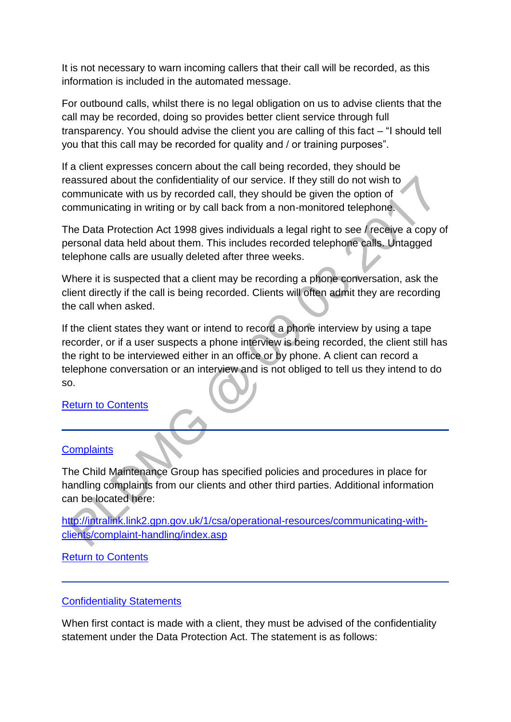It is not necessary to warn incoming callers that their call will be recorded, as this information is included in the automated message.

For outbound calls, whilst there is no legal obligation on us to advise clients that the call may be recorded, doing so provides better client service through full transparency. You should advise the client you are calling of this fact – "I should tell you that this call may be recorded for quality and / or training purposes".

If a client expresses concern about the call being recorded, they should be reassured about the confidentiality of our service. If they still do not wish to communicate with us by recorded call, they should be given the option of communicating in writing or by call back from a non-monitored telephone.

The Data Protection Act 1998 gives individuals a legal right to see / receive a copy of personal data held about them. This includes recorded telephone calls. Untagged telephone calls are usually deleted after three weeks.

Where it is suspected that a client may be recording a phone conversation, ask the client directly if the call is being recorded. Clients will often admit they are recording the call when asked.

If the client states they want or intend to record a phone interview by using a tape recorder, or if a user suspects a phone interview is being recorded, the client still has the right to be interviewed either in an office or by phone. A client can record a telephone conversation or an interview and is not obliged to tell us they intend to do so.

[Return to Contents](http://np-cmg-sharepoint.link2.gpn.gov.uk/sites/policy-law-and-decision-making-guidance/Pages/Managing%20Client%20Contact/Managing-Client-Contact.aspx#ManagingClientContact)

## **[Complaints](http://np-cmg-sharepoint.link2.gpn.gov.uk/sites/policy-law-and-decision-making-guidance/Pages/Managing%20Client%20Contact/Managing-Client-Contact.aspx)**

The Child Maintenance Group has specified policies and procedures in place for handling complaints from our clients and other third parties. Additional information can be located here:

[http://intralink.link2.gpn.gov.uk/1/csa/operational-resources/communicating-with](http://intralink.link2.gpn.gov.uk/1/csa/operational-resources/communicating-with-clients/complaint-handling/index.asp)[clients/complaint-handling/index.asp](http://intralink.link2.gpn.gov.uk/1/csa/operational-resources/communicating-with-clients/complaint-handling/index.asp)

[Return to Contents](http://np-cmg-sharepoint.link2.gpn.gov.uk/sites/policy-law-and-decision-making-guidance/Pages/Managing%20Client%20Contact/Managing-Client-Contact.aspx#ManagingClientContact)

#### [Confidentiality Statements](http://np-cmg-sharepoint.link2.gpn.gov.uk/sites/policy-law-and-decision-making-guidance/Pages/Managing%20Client%20Contact/Managing-Client-Contact.aspx)

When first contact is made with a client, they must be advised of the confidentiality statement under the Data Protection Act. The statement is as follows: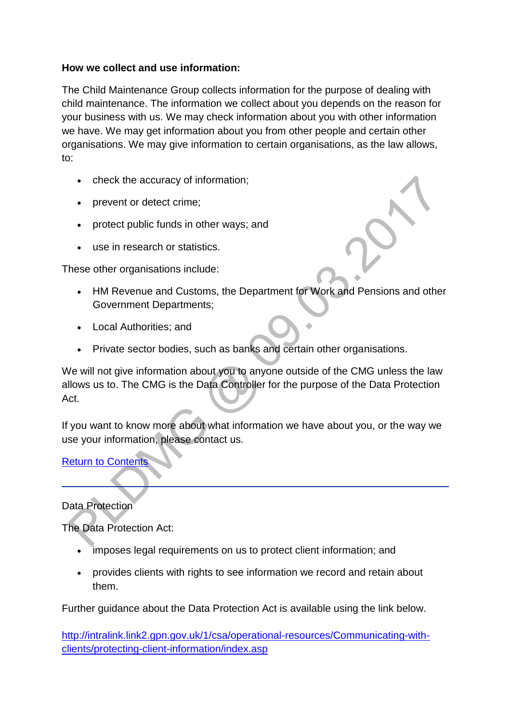## **How we collect and use information:**

The Child Maintenance Group collects information for the purpose of dealing with child maintenance. The information we collect about you depends on the reason for your business with us. We may check information about you with other information we have. We may get information about you from other people and certain other organisations. We may give information to certain organisations, as the law allows, to:

- check the accuracy of information;
- prevent or detect crime:
- protect public funds in other ways; and
- use in research or statistics.

These other organisations include:

- HM Revenue and Customs, the Department for Work and Pensions and other Government Departments;
- Local Authorities; and
- Private sector bodies, such as banks and certain other organisations.

We will not give information about you to anyone outside of the CMG unless the law allows us to. The CMG is the Data Controller for the purpose of the Data Protection Act.

If you want to know more about what information we have about you, or the way we use your information, please contact us.

[Return to Contents](http://np-cmg-sharepoint.link2.gpn.gov.uk/sites/policy-law-and-decision-making-guidance/Pages/Managing%20Client%20Contact/Managing-Client-Contact.aspx#ManagingClientContact)

Data Protection

The Data Protection Act:

- imposes legal requirements on us to protect client information; and
- provides clients with rights to see information we record and retain about them.

Further guidance about the Data Protection Act is available using the link below.

[http://intralink.link2.gpn.gov.uk/1/csa/operational-resources/Communicating-with](http://intralink.link2.gpn.gov.uk/1/csa/operational-resources/Communicating-with-clients/protecting-client-information/index.asp)[clients/protecting-client-information/index.asp](http://intralink.link2.gpn.gov.uk/1/csa/operational-resources/Communicating-with-clients/protecting-client-information/index.asp)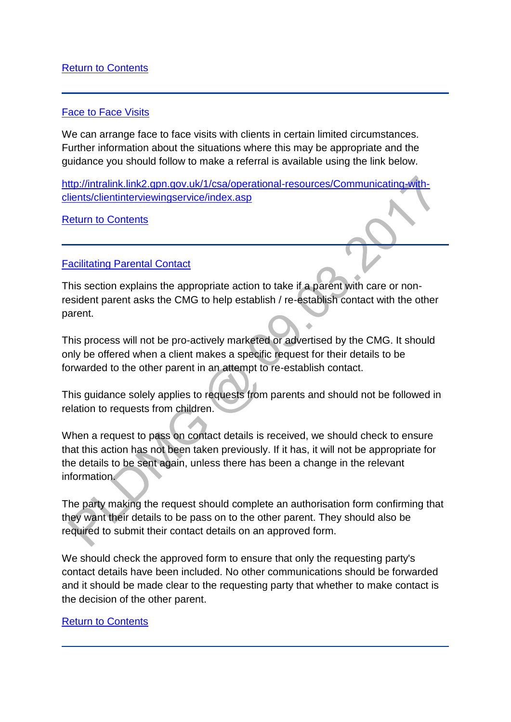# [Return to Contents](http://np-cmg-sharepoint.link2.gpn.gov.uk/sites/policy-law-and-decision-making-guidance/Pages/Managing%20Client%20Contact/Managing-Client-Contact.aspx#ManagingClientContact)

### [Face to Face Visits](http://np-cmg-sharepoint.link2.gpn.gov.uk/sites/policy-law-and-decision-making-guidance/Pages/Managing%20Client%20Contact/Managing-Client-Contact.aspx)

We can arrange face to face visits with clients in certain limited circumstances. Further information about the situations where this may be appropriate and the guidance you should follow to make a referral is available using the link below.

[http://intralink.link2.gpn.gov.uk/1/csa/operational-resources/Communicating-with](http://intralink.link2.gpn.gov.uk/1/csa/operational-resources/Communicating-with-clients/clientinterviewingservice/index.asp)[clients/clientinterviewingservice/index.asp](http://intralink.link2.gpn.gov.uk/1/csa/operational-resources/Communicating-with-clients/clientinterviewingservice/index.asp) 

[Return to Contents](http://np-cmg-sharepoint.link2.gpn.gov.uk/sites/policy-law-and-decision-making-guidance/Pages/Managing%20Client%20Contact/Managing-Client-Contact.aspx#ManagingClientContact)

### **[Facilitating Parental Contact](http://np-cmg-sharepoint.link2.gpn.gov.uk/sites/policy-law-and-decision-making-guidance/Pages/Managing%20Client%20Contact/Managing-Client-Contact.aspx)**

This section explains the appropriate action to take if a parent with care or nonresident parent asks the CMG to help establish / re-establish contact with the other parent.

This process will not be pro-actively marketed or advertised by the CMG. It should only be offered when a client makes a specific request for their details to be forwarded to the other parent in an attempt to re-establish contact.

This guidance solely applies to requests from parents and should not be followed in relation to requests from children.

When a request to pass on contact details is received, we should check to ensure that this action has not been taken previously. If it has, it will not be appropriate for the details to be sent again, unless there has been a change in the relevant information.

The party making the request should complete an authorisation form confirming that they want their details to be pass on to the other parent. They should also be required to submit their contact details on an approved form.

We should check the approved form to ensure that only the requesting party's contact details have been included. No other communications should be forwarded and it should be made clear to the requesting party that whether to make contact is the decision of the other parent.

#### [Return to Contents](http://np-cmg-sharepoint.link2.gpn.gov.uk/sites/policy-law-and-decision-making-guidance/Pages/Managing%20Client%20Contact/Managing-Client-Contact.aspx#ManagingClientContact)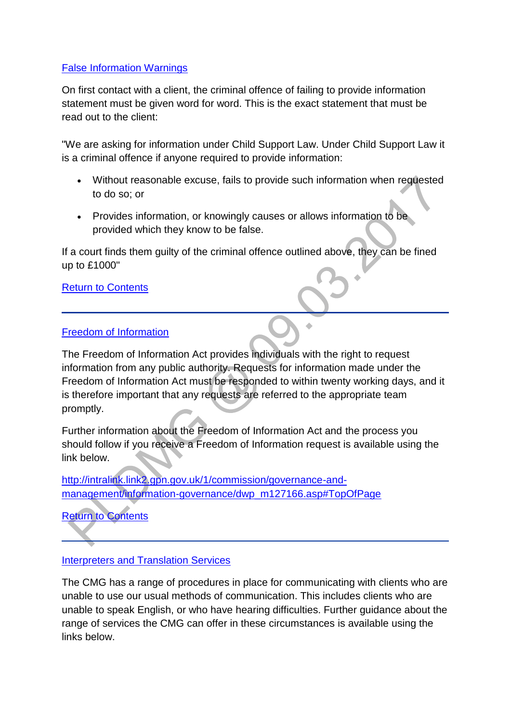## [False Information Warnings](http://np-cmg-sharepoint.link2.gpn.gov.uk/sites/policy-law-and-decision-making-guidance/Pages/Managing%20Client%20Contact/Managing-Client-Contact.aspx)

On first contact with a client, the criminal offence of failing to provide information statement must be given word for word. This is the exact statement that must be read out to the client:

"We are asking for information under Child Support Law. Under Child Support Law it is a criminal offence if anyone required to provide information:

- Without reasonable excuse, fails to provide such information when requested to do so; or
- Provides information, or knowingly causes or allows information to be provided which they know to be false.

If a court finds them guilty of the criminal offence outlined above, they can be fined up to £1000"

[Return to Contents](http://np-cmg-sharepoint.link2.gpn.gov.uk/sites/policy-law-and-decision-making-guidance/Pages/Managing%20Client%20Contact/Managing-Client-Contact.aspx#ManagingClientContact)

### [Freedom of Information](http://np-cmg-sharepoint.link2.gpn.gov.uk/sites/policy-law-and-decision-making-guidance/Pages/Managing%20Client%20Contact/Managing-Client-Contact.aspx)

The Freedom of Information Act provides individuals with the right to request information from any public authority. Requests for information made under the Freedom of Information Act must be responded to within twenty working days, and it is therefore important that any requests are referred to the appropriate team promptly.

Further information about the Freedom of Information Act and the process you should follow if you receive a Freedom of Information request is available using the link below.

[http://intralink.link2.gpn.gov.uk/1/commission/governance-and](http://intralink.link2.gpn.gov.uk/1/commission/governance-and-management/information-governance/dwp_m127166.asp#TopOfPage)[management/information-governance/dwp\\_m127166.asp#TopOfPage](http://intralink.link2.gpn.gov.uk/1/commission/governance-and-management/information-governance/dwp_m127166.asp#TopOfPage) 

[Return to Contents](http://np-cmg-sharepoint.link2.gpn.gov.uk/sites/policy-law-and-decision-making-guidance/Pages/Managing%20Client%20Contact/Managing-Client-Contact.aspx#ManagingClientContact)

## [Interpreters and Translation Services](http://np-cmg-sharepoint.link2.gpn.gov.uk/sites/policy-law-and-decision-making-guidance/Pages/Managing%20Client%20Contact/Managing-Client-Contact.aspx)

The CMG has a range of procedures in place for communicating with clients who are unable to use our usual methods of communication. This includes clients who are unable to speak English, or who have hearing difficulties. Further guidance about the range of services the CMG can offer in these circumstances is available using the links below.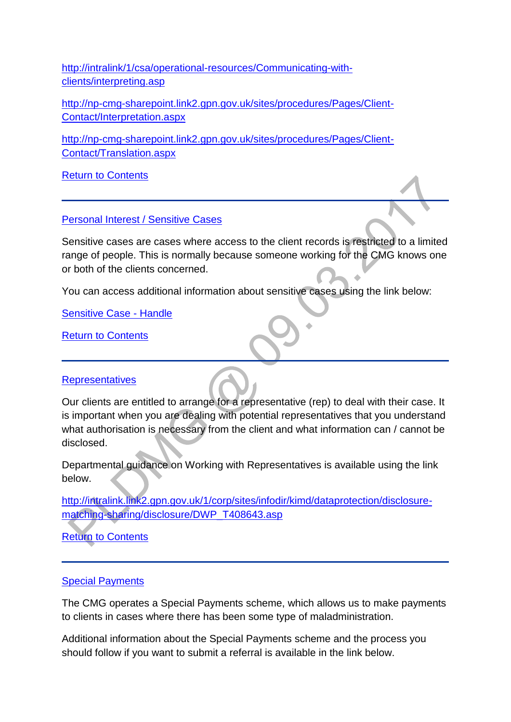[http://intralink/1/csa/operational-resources/Communicating-with](http://intralink/1/csa/operational-resources/Communicating-with-clients/interpreting.asp)[clients/interpreting.asp](http://intralink/1/csa/operational-resources/Communicating-with-clients/interpreting.asp) 

[http://np-cmg-sharepoint.link2.gpn.gov.uk/sites/procedures/Pages/Client-](http://np-cmg-sharepoint.link2.gpn.gov.uk/sites/procedures/Pages/Client-Contact/Interpretation.aspx)[Contact/Interpretation.aspx](http://np-cmg-sharepoint.link2.gpn.gov.uk/sites/procedures/Pages/Client-Contact/Interpretation.aspx)

[http://np-cmg-sharepoint.link2.gpn.gov.uk/sites/procedures/Pages/Client-](http://np-cmg-sharepoint.link2.gpn.gov.uk/sites/procedures/Pages/Client-Contact/Translation.aspx)[Contact/Translation.aspx](http://np-cmg-sharepoint.link2.gpn.gov.uk/sites/procedures/Pages/Client-Contact/Translation.aspx) 

[Return to Contents](http://np-cmg-sharepoint.link2.gpn.gov.uk/sites/policy-law-and-decision-making-guidance/Pages/Managing%20Client%20Contact/Managing-Client-Contact.aspx#ManagingClientContact)

[Personal Interest / Sensitive Cases](http://np-cmg-sharepoint.link2.gpn.gov.uk/sites/policy-law-and-decision-making-guidance/Pages/Managing%20Client%20Contact/Managing-Client-Contact.aspx)

Sensitive cases are cases where access to the client records is restricted to a limited range of people. This is normally because someone working for the CMG knows one or both of the clients concerned.

You can access additional information about sensitive cases using the link below:

[Sensitive Case -](http://np-cmg-sharepoint.link2.gpn.gov.uk/sites/procedures/Pages/Maintain-Case/Sensitive-case-handle.aspx) Handle

[Return to Contents](http://np-cmg-sharepoint.link2.gpn.gov.uk/sites/policy-law-and-decision-making-guidance/Pages/Managing%20Client%20Contact/Managing-Client-Contact.aspx#ManagingClientContact)

## **[Representatives](http://np-cmg-sharepoint.link2.gpn.gov.uk/sites/policy-law-and-decision-making-guidance/Pages/Managing%20Client%20Contact/Managing-Client-Contact.aspx)**

Our clients are entitled to arrange for a representative (rep) to deal with their case. It is important when you are dealing with potential representatives that you understand what authorisation is necessary from the client and what information can / cannot be disclosed.

Departmental guidance on Working with Representatives is available using the link below.

[http://intralink.link2.gpn.gov.uk/1/corp/sites/infodir/kimd/dataprotection/disclosure](http://intralink.link2.gpn.gov.uk/1/corp/sites/infodir/kimd/dataprotection/disclosure-matching-sharing/disclosure/DWP_T408643.asp)[matching-sharing/disclosure/DWP\\_T408643.asp](http://intralink.link2.gpn.gov.uk/1/corp/sites/infodir/kimd/dataprotection/disclosure-matching-sharing/disclosure/DWP_T408643.asp)

**[Return to Contents](http://np-cmg-sharepoint.link2.gpn.gov.uk/sites/policy-law-and-decision-making-guidance/Pages/Managing%20Client%20Contact/Managing-Client-Contact.aspx#ManagingClientContact)** 

## [Special Payments](http://np-cmg-sharepoint.link2.gpn.gov.uk/sites/policy-law-and-decision-making-guidance/Pages/Managing%20Client%20Contact/Managing-Client-Contact.aspx)

The CMG operates a Special Payments scheme, which allows us to make payments to clients in cases where there has been some type of maladministration.

Additional information about the Special Payments scheme and the process you should follow if you want to submit a referral is available in the link below.